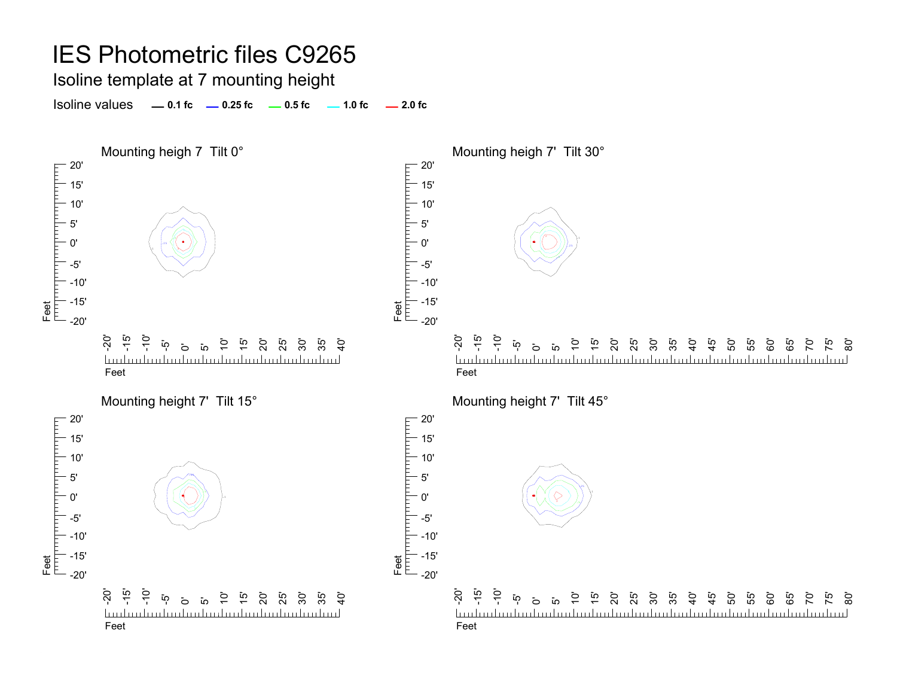#### Isoline template at 7 mounting height

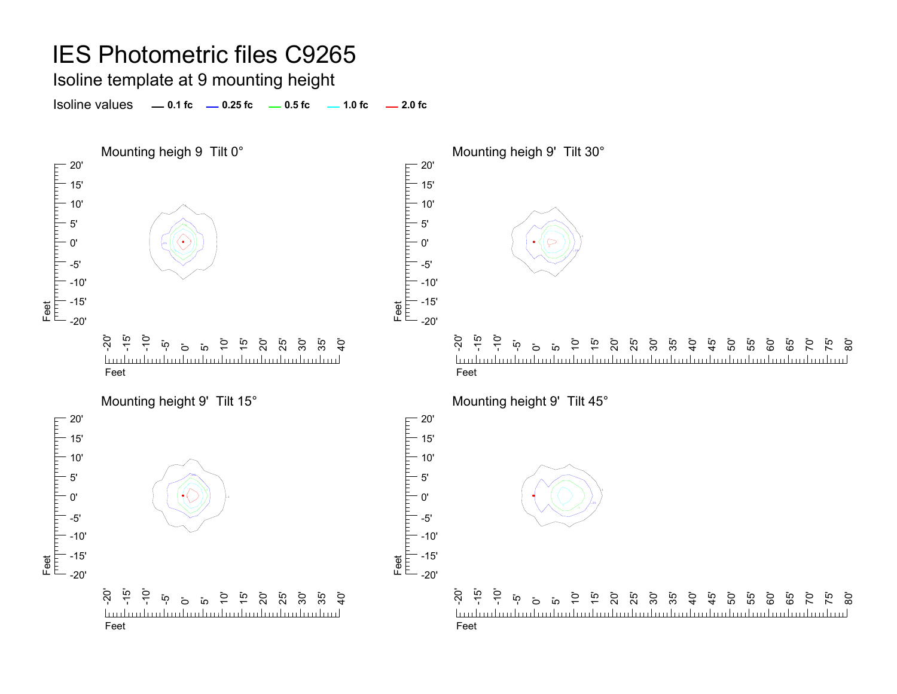#### Isoline template at 9 mounting height

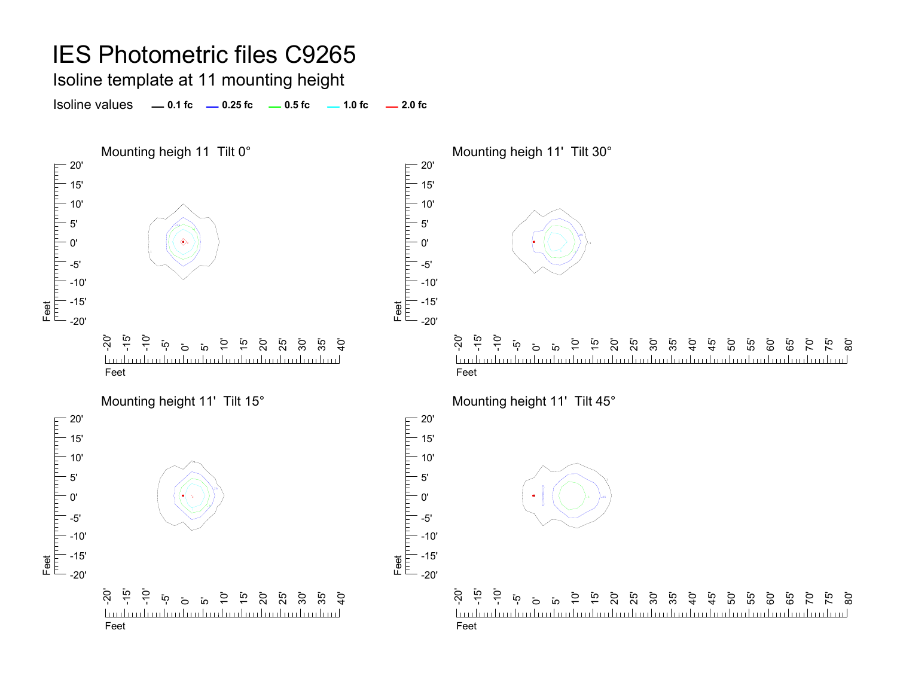Isoline template at 11 mounting height

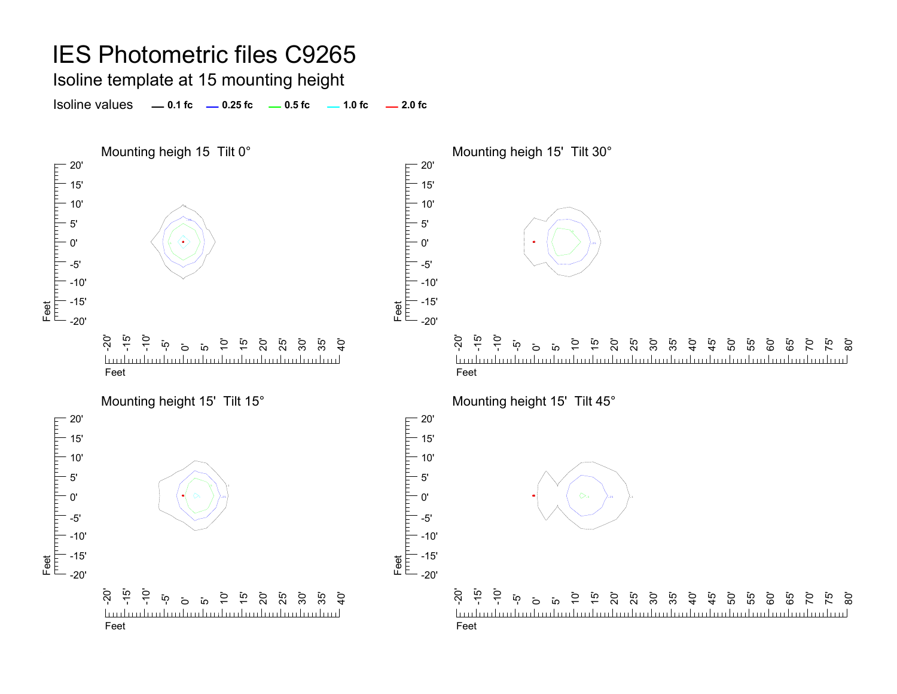Isoline template at 15 mounting height

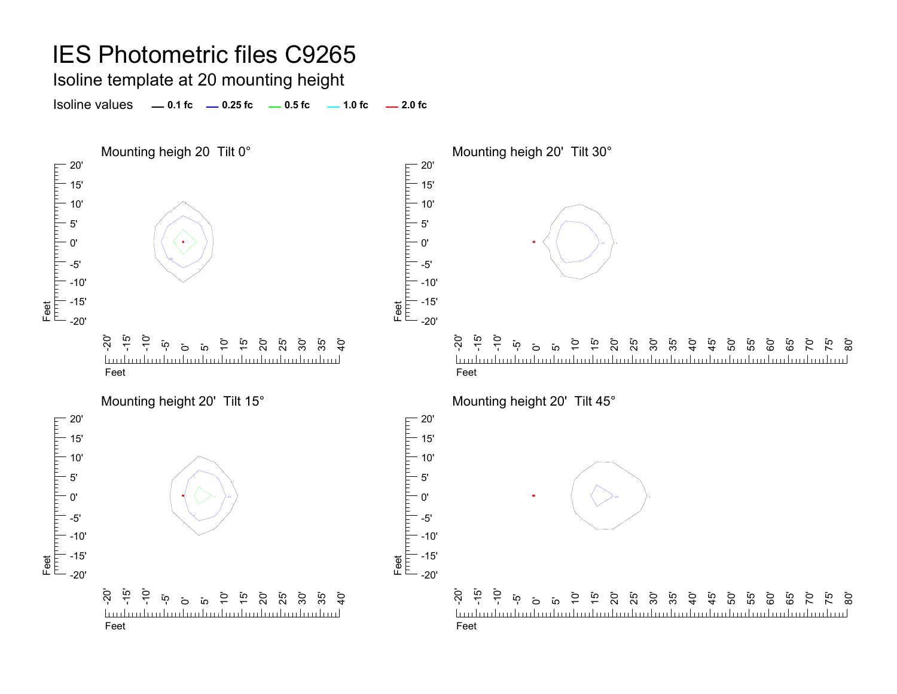Isoline template at 20 mounting height